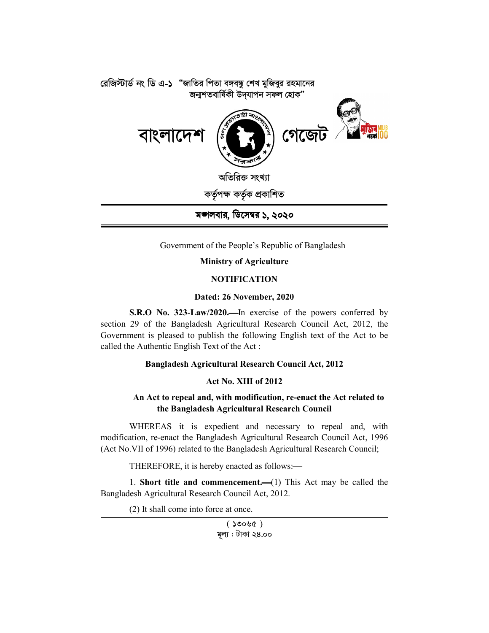

Government of the People's Republic of Bangladesh

# **Ministry of Agriculture**

## **NOTIFICATION**

### **Dated: 26 November, 2020**

**S.R.O No. 323-Law/2020.** In exercise of the powers conferred by section 29 of the Bangladesh Agricultural Research Council Act, 2012, the Government is pleased to publish the following English text of the Act to be called the Authentic English Text of the Act :

# **Bangladesh Agricultural Research Council Act, 2012**

### **Act No. XIII of 2012**

# **An Act to repeal and, with modification, re-enact the Act related to the Bangladesh Agricultural Research Council**

WHEREAS it is expedient and necessary to repeal and, with modification, re-enact the Bangladesh Agricultural Research Council Act, 1996 (Act No.VII of 1996) related to the Bangladesh Agricultural Research Council;

THEREFORE, it is hereby enacted as follows:

1. **Short title and commencement.**(1) This Act may be called the Bangladesh Agricultural Research Council Act, 2012.

(2) It shall come into force at once.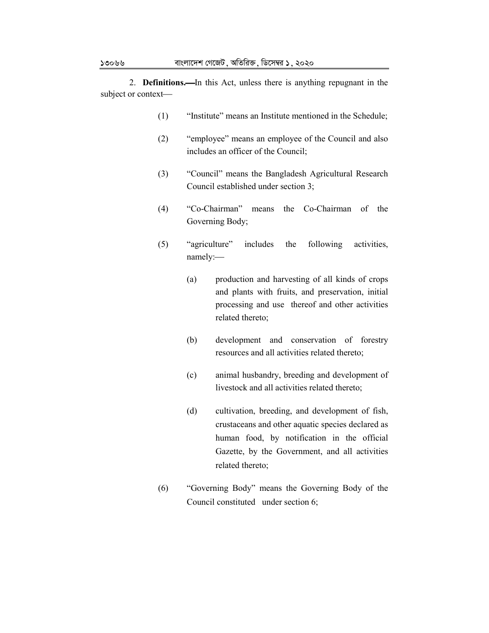2. **Definitions.** In this Act, unless there is anything repugnant in the subject or context

- (1) "Institute" means an Institute mentioned in the Schedule;
- (2) "employee" means an employee of the Council and also includes an officer of the Council;
- (3) "Council" means the Bangladesh Agricultural Research Council established under section 3;
- (4) "Co-Chairman" means the Co-Chairman of the Governing Body;
- (5) "agriculture" includes the following activities, namely:
	- (a) production and harvesting of all kinds of crops and plants with fruits, and preservation, initial processing and use thereof and other activities related thereto;
	- (b) development and conservation of forestry resources and all activities related thereto;
	- (c) animal husbandry, breeding and development of livestock and all activities related thereto;
	- (d) cultivation, breeding, and development of fish, crustaceans and other aquatic species declared as human food, by notification in the official Gazette, by the Government, and all activities related thereto;
- (6) "Governing Body" means the Governing Body of the Council constituted under section 6;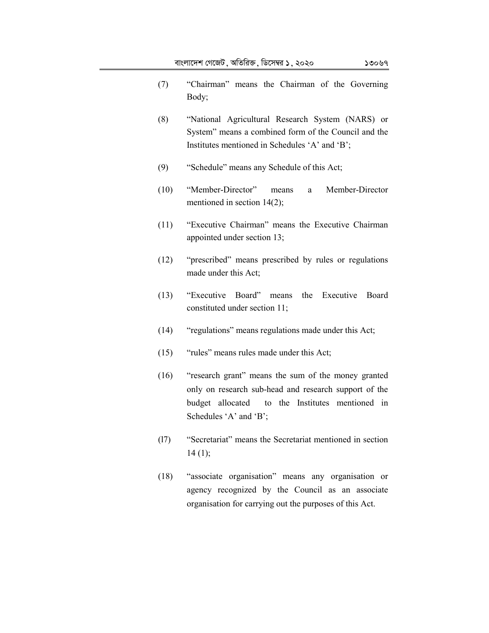- (7) "Chairman" means the Chairman of the Governing Body;
- (8) "National Agricultural Research System (NARS) or System" means a combined form of the Council and the Institutes mentioned in Schedules 'A' and 'B';
- (9) "Schedule" means any Schedule of this Act;
- (10) "Member-Director" means a Member-Director mentioned in section 14(2);
- (11) "Executive Chairman" means the Executive Chairman appointed under section 13;
- (12) "prescribed" means prescribed by rules or regulations made under this Act;
- (13) "Executive Board" means the Executive Board constituted under section 11;
- (14) "regulations" means regulations made under this Act;
- (15) "rules" means rules made under this Act;
- (16) "research grant" means the sum of the money granted only on research sub-head and research support of the budget allocated to the Institutes mentioned in Schedules 'A' and 'B';
- (l7) "Secretariat" means the Secretariat mentioned in section  $14(1)$ ;
- (18) "associate organisation" means any organisation or agency recognized by the Council as an associate organisation for carrying out the purposes of this Act.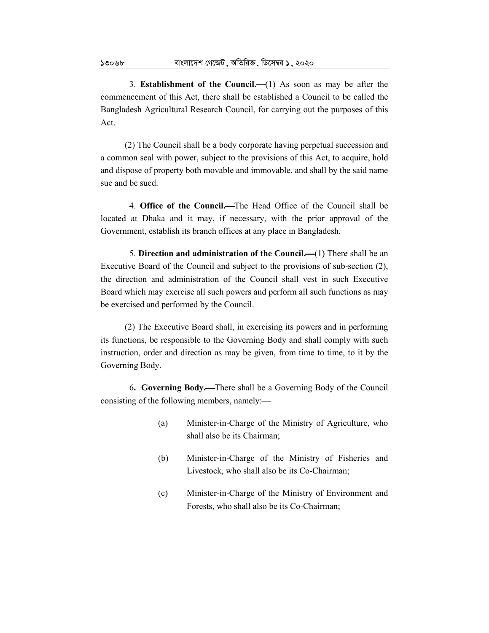3. **Establishment of the Council.**  $\left(1\right)$  As soon as may be after the commencement of this Act, there shall be established a Council to be called the Bangladesh Agricultural Research Council, for carrying out the purposes of this Act.

(2) The Council shall be a body corporate having perpetual succession and a common seal with power, subject to the provisions of this Act, to acquire, hold and dispose of property both movable and immovable, and shall by the said name sue and be sued.

4. **Office of the Council.**The Head Office of the Council shall be located at Dhaka and it may, if necessary, with the prior approval of the Government, establish its branch offices at any place in Bangladesh.

5. **Direction and administration of the Council.** (1) There shall be an Executive Board of the Council and subject to the provisions of sub-section (2), the direction and administration of the Council shall vest in such Executive Board which may exercise all such powers and perform all such functions as may be exercised and performed by the Council.

(2) The Executive Board shall, in exercising its powers and in performing its functions, be responsible to the Governing Body and shall comply with such instruction, order and direction as may be given, from time to time, to it by the Governing Body.

6**. Governing Body.**There shall be a Governing Body of the Council consisting of the following members, namely:

- (a) Minister-in-Charge of the Ministry of Agriculture, who shall also be its Chairman;
- (b) Minister-in-Charge of the Ministry of Fisheries and Livestock, who shall also be its Co-Chairman;
- (c) Minister-in-Charge of the Ministry of Environment and Forests, who shall also be its Co-Chairman;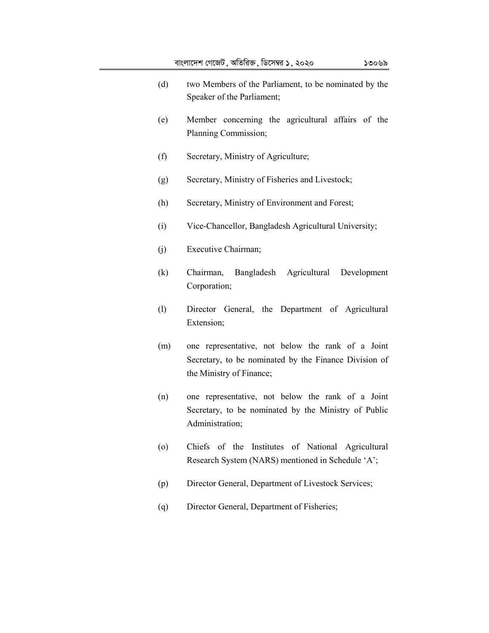- (e) Member concerning the agricultural affairs of the Planning Commission;
- (f) Secretary, Ministry of Agriculture;
- (g) Secretary, Ministry of Fisheries and Livestock;
- (h) Secretary, Ministry of Environment and Forest;
- (i) Vice-Chancellor, Bangladesh Agricultural University;
- (j) Executive Chairman;
- (k) Chairman, Bangladesh Agricultural Development Corporation;
- (l) Director General, the Department of Agricultural Extension;
- (m) one representative, not below the rank of a Joint Secretary, to be nominated by the Finance Division of the Ministry of Finance;
- (n) one representative, not below the rank of a Joint Secretary, to be nominated by the Ministry of Public Administration;
- (o) Chiefs of the Institutes of National Agricultural Research System (NARS) mentioned in Schedule 'A';
- (p) Director General, Department of Livestock Services;
- (q) Director General, Department of Fisheries;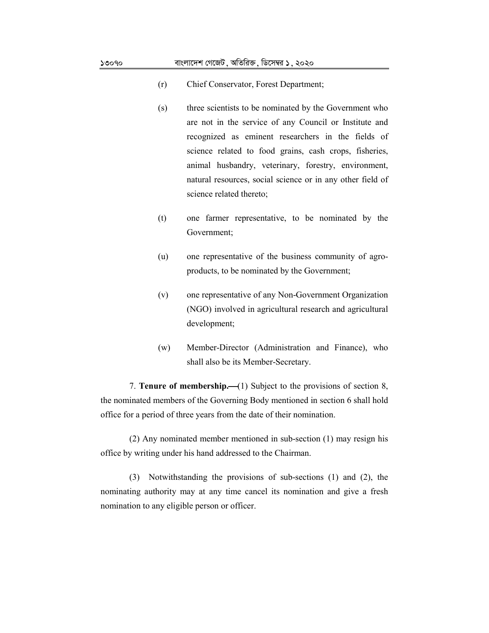- (r) Chief Conservator, Forest Department;
- (s) three scientists to be nominated by the Government who are not in the service of any Council or Institute and recognized as eminent researchers in the fields of science related to food grains, cash crops, fisheries, animal husbandry, veterinary, forestry, environment, natural resources, social science or in any other field of science related thereto;
- (t) one farmer representative, to be nominated by the Government;
- (u) one representative of the business community of agroproducts, to be nominated by the Government;
- (v) one representative of any Non-Government Organization (NGO) involved in agricultural research and agricultural development;
- (w) Member-Director (Administration and Finance), who shall also be its Member-Secretary.

7. **Tenure of membership.** (1) Subject to the provisions of section 8, the nominated members of the Governing Body mentioned in section 6 shall hold office for a period of three years from the date of their nomination.

(2) Any nominated member mentioned in sub-section (1) may resign his office by writing under his hand addressed to the Chairman.

(3) Notwithstanding the provisions of sub-sections (1) and (2), the nominating authority may at any time cancel its nomination and give a fresh nomination to any eligible person or officer.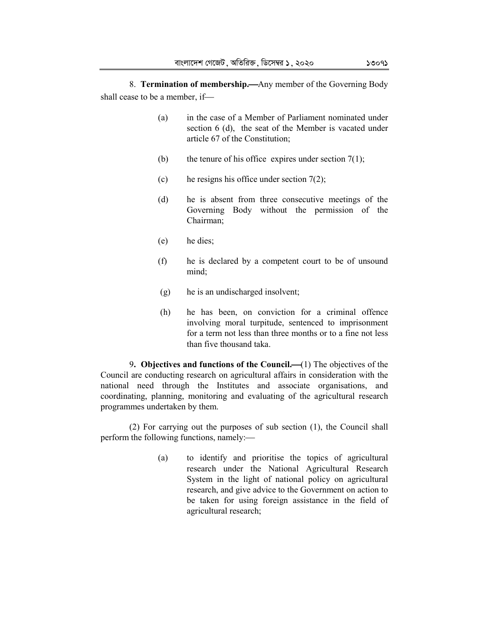8. **Termination of membership.—**Any member of the Governing Body shall cease to be a member, if

- (a) in the case of a Member of Parliament nominated under section 6 (d), the seat of the Member is vacated under article 67 of the Constitution;
- (b) the tenure of his office expires under section  $7(1)$ ;
- (c) he resigns his office under section  $7(2)$ ;
- (d) he is absent from three consecutive meetings of the Governing Body without the permission of the Chairman;
- (e) he dies;
- (f) he is declared by a competent court to be of unsound mind;
- (g) he is an undischarged insolvent;
- (h) he has been, on conviction for a criminal offence involving moral turpitude, sentenced to imprisonment for a term not less than three months or to a fine not less than five thousand taka.

9. Objectives and functions of the Council.—(1) The objectives of the Council are conducting research on agricultural affairs in consideration with the national need through the Institutes and associate organisations, and coordinating, planning, monitoring and evaluating of the agricultural research programmes undertaken by them.

(2) For carrying out the purposes of sub section (1), the Council shall perform the following functions, namely:

> (a) to identify and prioritise the topics of agricultural research under the National Agricultural Research System in the light of national policy on agricultural research, and give advice to the Government on action to be taken for using foreign assistance in the field of agricultural research;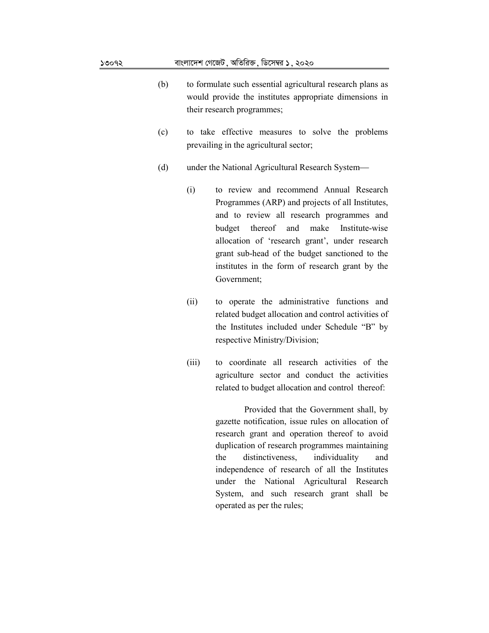#### $30092$  বাংলাদেশ গেজেট, অতিরিক্ত, ডিসেম্বর  $5.3020$

- (b) to formulate such essential agricultural research plans as would provide the institutes appropriate dimensions in their research programmes;
- (c) to take effective measures to solve the problems prevailing in the agricultural sector;
- (d) under the National Agricultural Research System
	- (i) to review and recommend Annual Research Programmes (ARP) and projects of all Institutes, and to review all research programmes and budget thereof and make Institute-wise allocation of 'research grant', under research grant sub-head of the budget sanctioned to the institutes in the form of research grant by the Government;
	- (ii) to operate the administrative functions and related budget allocation and control activities of the Institutes included under Schedule "B" by respective Ministry/Division;
	- (iii) to coordinate all research activities of the agriculture sector and conduct the activities related to budget allocation and control thereof:

Provided that the Government shall, by gazette notification, issue rules on allocation of research grant and operation thereof to avoid duplication of research programmes maintaining the distinctiveness, individuality and independence of research of all the Institutes under the National Agricultural Research System, and such research grant shall be operated as per the rules;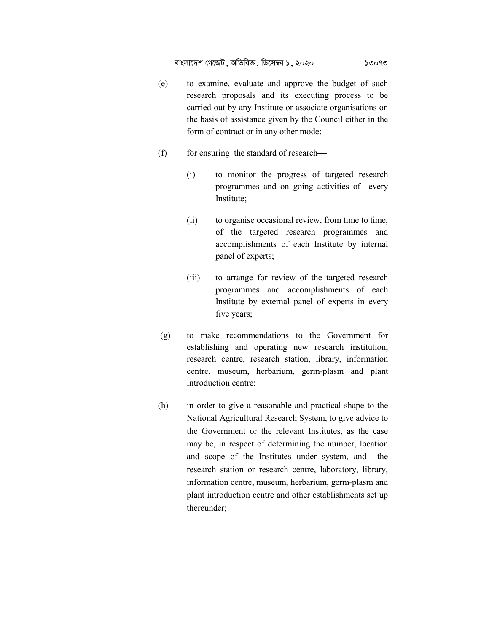- (e) to examine, evaluate and approve the budget of such research proposals and its executing process to be carried out by any Institute or associate organisations on the basis of assistance given by the Council either in the form of contract or in any other mode;
- $(f)$  for ensuring the standard of research—
	- (i) to monitor the progress of targeted research programmes and on going activities of every Institute;
	- (ii) to organise occasional review, from time to time, of the targeted research programmes and accomplishments of each Institute by internal panel of experts;
	- (iii) to arrange for review of the targeted research programmes and accomplishments of each Institute by external panel of experts in every five years;
- (g) to make recommendations to the Government for establishing and operating new research institution, research centre, research station, library, information centre, museum, herbarium, germ-plasm and plant introduction centre;
- (h) in order to give a reasonable and practical shape to the National Agricultural Research System, to give advice to the Government or the relevant Institutes, as the case may be, in respect of determining the number, location and scope of the Institutes under system, and the research station or research centre, laboratory, library, information centre, museum, herbarium, germ-plasm and plant introduction centre and other establishments set up thereunder;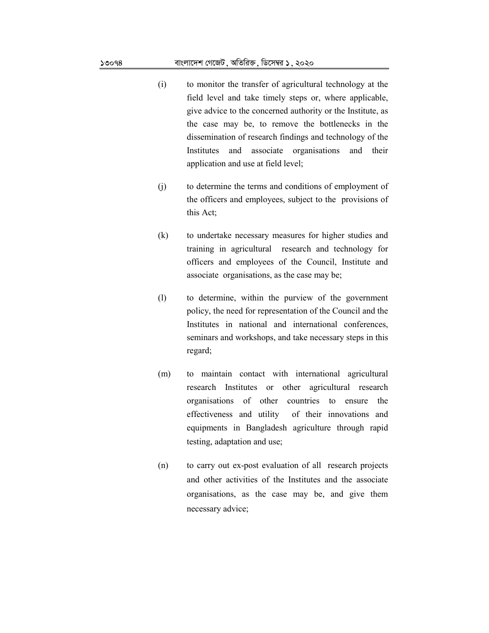#### $30098$  বাংলাদেশ গেজেট মতিরিক্ত, ডিসেম্বর  $5.3020$

- (i) to monitor the transfer of agricultural technology at the field level and take timely steps or, where applicable, give advice to the concerned authority or the Institute, as the case may be, to remove the bottlenecks in the dissemination of research findings and technology of the Institutes and associate organisations and their application and use at field level;
- (j) to determine the terms and conditions of employment of the officers and employees, subject to the provisions of this Act;
- (k) to undertake necessary measures for higher studies and training in agricultural research and technology for officers and employees of the Council, Institute and associate organisations, as the case may be;
- (l) to determine, within the purview of the government policy, the need for representation of the Council and the Institutes in national and international conferences, seminars and workshops, and take necessary steps in this regard;
- (m) to maintain contact with international agricultural research Institutes or other agricultural research organisations of other countries to ensure the effectiveness and utility of their innovations and equipments in Bangladesh agriculture through rapid testing, adaptation and use;
- (n) to carry out ex-post evaluation of all research projects and other activities of the Institutes and the associate organisations, as the case may be, and give them necessary advice;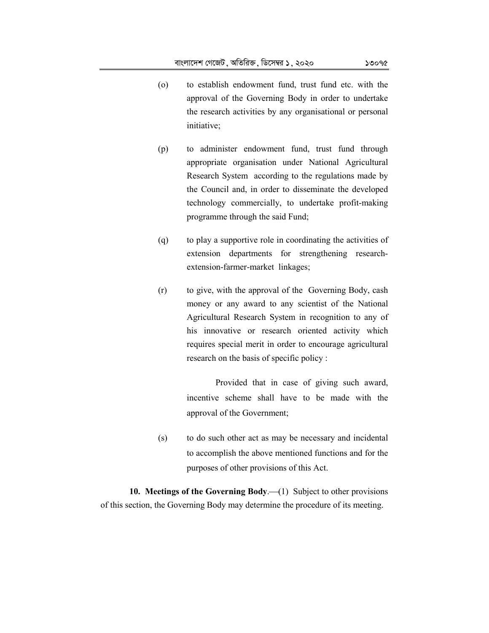- (o) to establish endowment fund, trust fund etc. with the approval of the Governing Body in order to undertake the research activities by any organisational or personal initiative;
- (p) to administer endowment fund, trust fund through appropriate organisation under National Agricultural Research System according to the regulations made by the Council and, in order to disseminate the developed technology commercially, to undertake profit-making programme through the said Fund;
- (q) to play a supportive role in coordinating the activities of extension departments for strengthening researchextension-farmer-market linkages;
- (r) to give, with the approval of the Governing Body, cash money or any award to any scientist of the National Agricultural Research System in recognition to any of his innovative or research oriented activity which requires special merit in order to encourage agricultural research on the basis of specific policy :

Provided that in case of giving such award, incentive scheme shall have to be made with the approval of the Government;

(s) to do such other act as may be necessary and incidental to accomplish the above mentioned functions and for the purposes of other provisions of this Act.

**10. Meetings of the Governing Body.** (1) Subject to other provisions of this section, the Governing Body may determine the procedure of its meeting.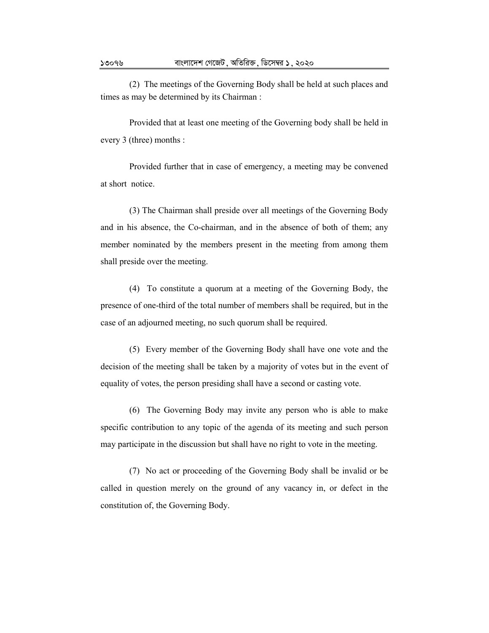(2) The meetings of the Governing Body shall be held at such places and times as may be determined by its Chairman :

Provided that at least one meeting of the Governing body shall be held in every 3 (three) months :

Provided further that in case of emergency, a meeting may be convened at short notice.

(3) The Chairman shall preside over all meetings of the Governing Body and in his absence, the Co-chairman, and in the absence of both of them; any member nominated by the members present in the meeting from among them shall preside over the meeting.

(4) To constitute a quorum at a meeting of the Governing Body, the presence of one-third of the total number of members shall be required, but in the case of an adjourned meeting, no such quorum shall be required.

(5) Every member of the Governing Body shall have one vote and the decision of the meeting shall be taken by a majority of votes but in the event of equality of votes, the person presiding shall have a second or casting vote.

(6) The Governing Body may invite any person who is able to make specific contribution to any topic of the agenda of its meeting and such person may participate in the discussion but shall have no right to vote in the meeting.

(7) No act or proceeding of the Governing Body shall be invalid or be called in question merely on the ground of any vacancy in, or defect in the constitution of, the Governing Body.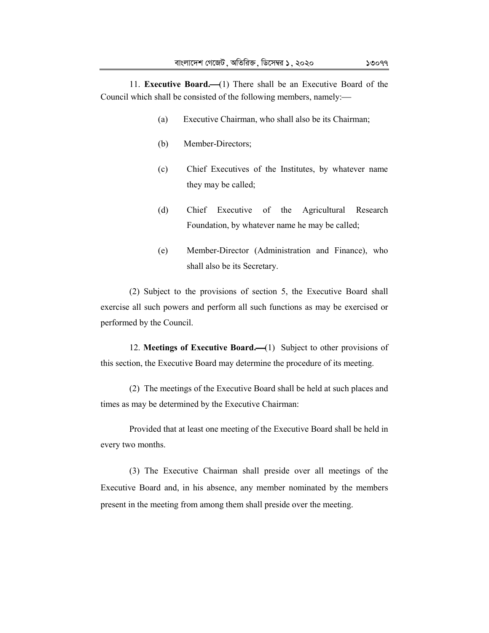11. **Executive Board.**(1) There shall be an Executive Board of the Council which shall be consisted of the following members, namely:

- (a) Executive Chairman, who shall also be its Chairman;
- (b) Member-Directors;
- (c) Chief Executives of the Institutes, by whatever name they may be called;
- (d) Chief Executive of the Agricultural Research Foundation, by whatever name he may be called;
- (e) Member-Director (Administration and Finance), who shall also be its Secretary.

(2) Subject to the provisions of section 5, the Executive Board shall exercise all such powers and perform all such functions as may be exercised or performed by the Council.

12. **Meetings of Executive Board.** (1) Subject to other provisions of this section, the Executive Board may determine the procedure of its meeting.

(2) The meetings of the Executive Board shall be held at such places and times as may be determined by the Executive Chairman:

Provided that at least one meeting of the Executive Board shall be held in every two months.

(3) The Executive Chairman shall preside over all meetings of the Executive Board and, in his absence, any member nominated by the members present in the meeting from among them shall preside over the meeting.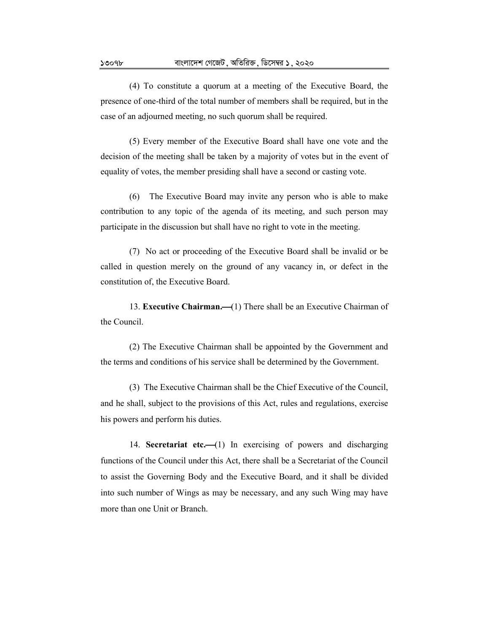(4) To constitute a quorum at a meeting of the Executive Board, the presence of one-third of the total number of members shall be required, but in the case of an adjourned meeting, no such quorum shall be required.

(5) Every member of the Executive Board shall have one vote and the decision of the meeting shall be taken by a majority of votes but in the event of equality of votes, the member presiding shall have a second or casting vote.

(6) The Executive Board may invite any person who is able to make contribution to any topic of the agenda of its meeting, and such person may participate in the discussion but shall have no right to vote in the meeting.

(7) No act or proceeding of the Executive Board shall be invalid or be called in question merely on the ground of any vacancy in, or defect in the constitution of, the Executive Board.

13. **Executive Chairman.** (1) There shall be an Executive Chairman of the Council.

(2) The Executive Chairman shall be appointed by the Government and the terms and conditions of his service shall be determined by the Government.

(3) The Executive Chairman shall be the Chief Executive of the Council, and he shall, subject to the provisions of this Act, rules and regulations, exercise his powers and perform his duties.

14. **Secretariat etc.**(1) In exercising of powers and discharging functions of the Council under this Act, there shall be a Secretariat of the Council to assist the Governing Body and the Executive Board, and it shall be divided into such number of Wings as may be necessary, and any such Wing may have more than one Unit or Branch.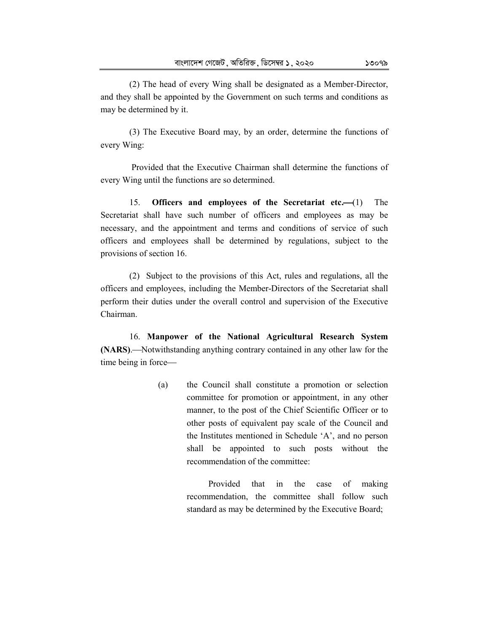(2) The head of every Wing shall be designated as a Member-Director, and they shall be appointed by the Government on such terms and conditions as may be determined by it.

(3) The Executive Board may, by an order, determine the functions of every Wing:

 Provided that the Executive Chairman shall determine the functions of every Wing until the functions are so determined.

15. **Officers and employees of the Secretariat etc.**(1) The Secretariat shall have such number of officers and employees as may be necessary, and the appointment and terms and conditions of service of such officers and employees shall be determined by regulations, subject to the provisions of section 16.

(2) Subject to the provisions of this Act, rules and regulations, all the officers and employees, including the Member-Directors of the Secretariat shall perform their duties under the overall control and supervision of the Executive Chairman.

16. **Manpower of the National Agricultural Research System (NARS).**—Notwithstanding anything contrary contained in any other law for the time being in force

> (a) the Council shall constitute a promotion or selection committee for promotion or appointment, in any other manner, to the post of the Chief Scientific Officer or to other posts of equivalent pay scale of the Council and the Institutes mentioned in Schedule 'A', and no person shall be appointed to such posts without the recommendation of the committee:

> > Provided that in the case of making recommendation, the committee shall follow such standard as may be determined by the Executive Board;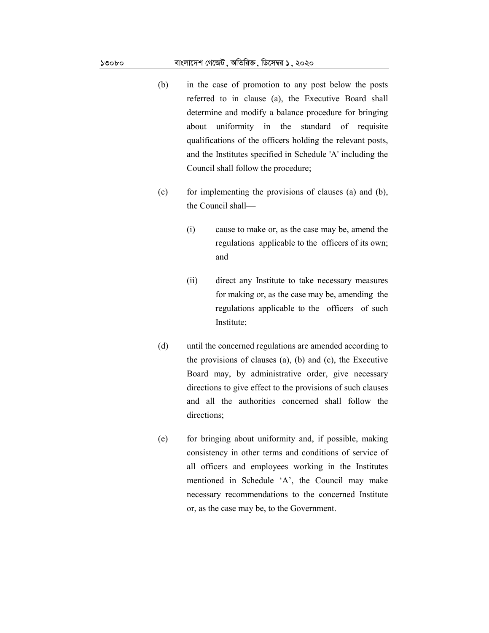- (b) in the case of promotion to any post below the posts referred to in clause (a), the Executive Board shall determine and modify a balance procedure for bringing about uniformity in the standard of requisite qualifications of the officers holding the relevant posts, and the Institutes specified in Schedule 'A' including the Council shall follow the procedure;
- (c) for implementing the provisions of clauses (a) and (b), the Council shall
	- (i) cause to make or, as the case may be, amend the regulations applicable to the officers of its own; and
	- (ii) direct any Institute to take necessary measures for making or, as the case may be, amending the regulations applicable to the officers of such Institute;
- (d) until the concerned regulations are amended according to the provisions of clauses (a), (b) and (c), the Executive Board may, by administrative order, give necessary directions to give effect to the provisions of such clauses and all the authorities concerned shall follow the directions;
- (e) for bringing about uniformity and, if possible, making consistency in other terms and conditions of service of all officers and employees working in the Institutes mentioned in Schedule 'A', the Council may make necessary recommendations to the concerned Institute or, as the case may be, to the Government.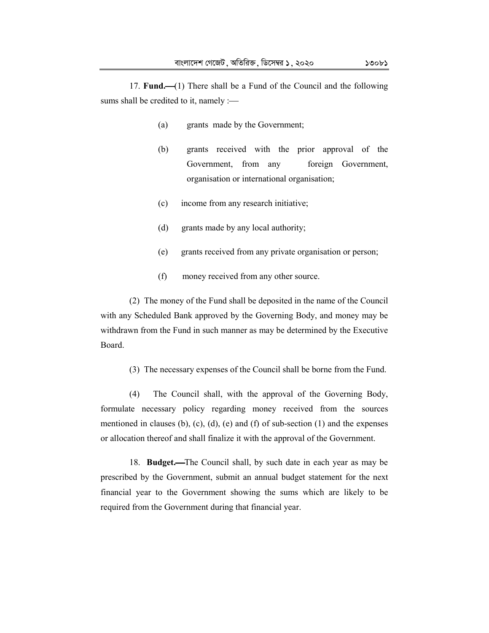17. **Fund.**(1) There shall be a Fund of the Council and the following sums shall be credited to it, namely :-

- (a) grants made by the Government;
- (b) grants received with the prior approval of the Government, from any foreign Government, organisation or international organisation;
- (c) income from any research initiative;
- (d) grants made by any local authority;
- (e) grants received from any private organisation or person;
- (f) money received from any other source.

(2) The money of the Fund shall be deposited in the name of the Council with any Scheduled Bank approved by the Governing Body, and money may be withdrawn from the Fund in such manner as may be determined by the Executive Board.

(3) The necessary expenses of the Council shall be borne from the Fund.

(4) The Council shall, with the approval of the Governing Body, formulate necessary policy regarding money received from the sources mentioned in clauses (b), (c), (d), (e) and (f) of sub-section  $(1)$  and the expenses or allocation thereof and shall finalize it with the approval of the Government.

18. **Budget.**The Council shall, by such date in each year as may be prescribed by the Government, submit an annual budget statement for the next financial year to the Government showing the sums which are likely to be required from the Government during that financial year.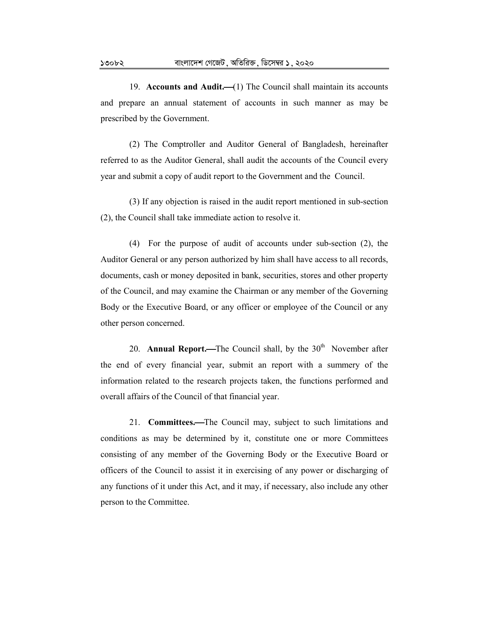19. **Accounts and Audit.** (1) The Council shall maintain its accounts and prepare an annual statement of accounts in such manner as may be prescribed by the Government.

(2) The Comptroller and Auditor General of Bangladesh, hereinafter referred to as the Auditor General, shall audit the accounts of the Council every year and submit a copy of audit report to the Government and the Council.

(3) If any objection is raised in the audit report mentioned in sub-section (2), the Council shall take immediate action to resolve it.

(4) For the purpose of audit of accounts under sub-section (2), the Auditor General or any person authorized by him shall have access to all records, documents, cash or money deposited in bank, securities, stores and other property of the Council, and may examine the Chairman or any member of the Governing Body or the Executive Board, or any officer or employee of the Council or any other person concerned.

20. **Annual Report.**—The Council shall, by the 30<sup>th</sup> November after the end of every financial year, submit an report with a summery of the information related to the research projects taken, the functions performed and overall affairs of the Council of that financial year.

21. **Committees.**The Council may, subject to such limitations and conditions as may be determined by it, constitute one or more Committees consisting of any member of the Governing Body or the Executive Board or officers of the Council to assist it in exercising of any power or discharging of any functions of it under this Act, and it may, if necessary, also include any other person to the Committee.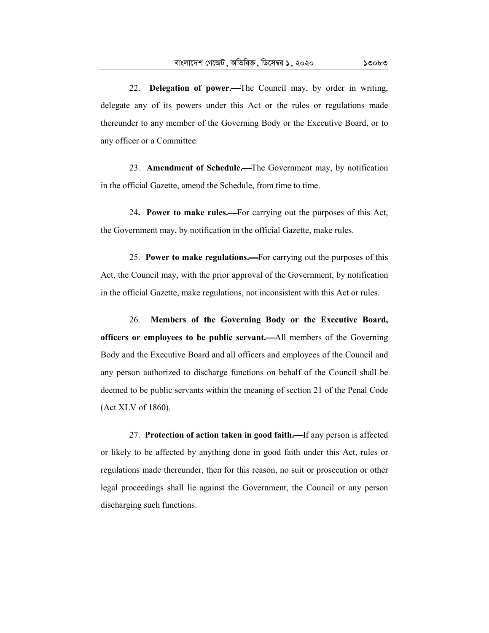22. **Delegation of power.**The Council may, by order in writing, delegate any of its powers under this Act or the rules or regulations made thereunder to any member of the Governing Body or the Executive Board, or to any officer or a Committee.

23. **Amendment of Schedule.**The Government may, by notification in the official Gazette, amend the Schedule, from time to time.

24. Power to make rules.—For carrying out the purposes of this Act, the Government may, by notification in the official Gazette, make rules.

25. **Power to make regulations.**For carrying out the purposes of this Act, the Council may, with the prior approval of the Government, by notification in the official Gazette, make regulations, not inconsistent with this Act or rules.

26. **Members of the Governing Body or the Executive Board, officers or employees to be public servant.**All members of the Governing Body and the Executive Board and all officers and employees of the Council and any person authorized to discharge functions on behalf of the Council shall be deemed to be public servants within the meaning of section 21 of the Penal Code (Act XLV of 1860).

27. **Protection of action taken in good faith.**—If any person is affected or likely to be affected by anything done in good faith under this Act, rules or regulations made thereunder, then for this reason, no suit or prosecution or other legal proceedings shall lie against the Government, the Council or any person discharging such functions.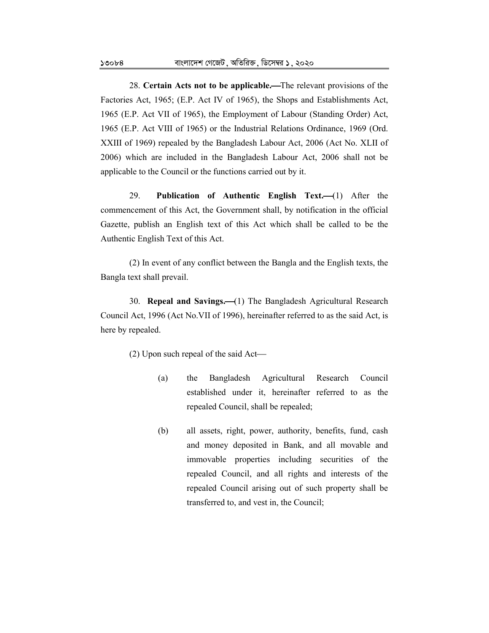28. **Certain Acts not to be applicable.**The relevant provisions of the Factories Act, 1965; (E.P. Act IV of 1965), the Shops and Establishments Act, 1965 (E.P. Act VII of 1965), the Employment of Labour (Standing Order) Act, 1965 (E.P. Act VIII of 1965) or the Industrial Relations Ordinance, 1969 (Ord. XXIII of 1969) repealed by the Bangladesh Labour Act, 2006 (Act No. XLII of 2006) which are included in the Bangladesh Labour Act, 2006 shall not be applicable to the Council or the functions carried out by it.

29. **Publication of Authentic English Text.**(1) After the commencement of this Act, the Government shall, by notification in the official Gazette, publish an English text of this Act which shall be called to be the Authentic English Text of this Act.

(2) In event of any conflict between the Bangla and the English texts, the Bangla text shall prevail.

30. **Repeal and Savings.** (1) The Bangladesh Agricultural Research Council Act, 1996 (Act No.VII of 1996), hereinafter referred to as the said Act, is here by repealed.

(2) Upon such repeal of the said Act

- (a) the Bangladesh Agricultural Research Council established under it, hereinafter referred to as the repealed Council, shall be repealed;
- (b) all assets, right, power, authority, benefits, fund, cash and money deposited in Bank, and all movable and immovable properties including securities of the repealed Council, and all rights and interests of the repealed Council arising out of such property shall be transferred to, and vest in, the Council;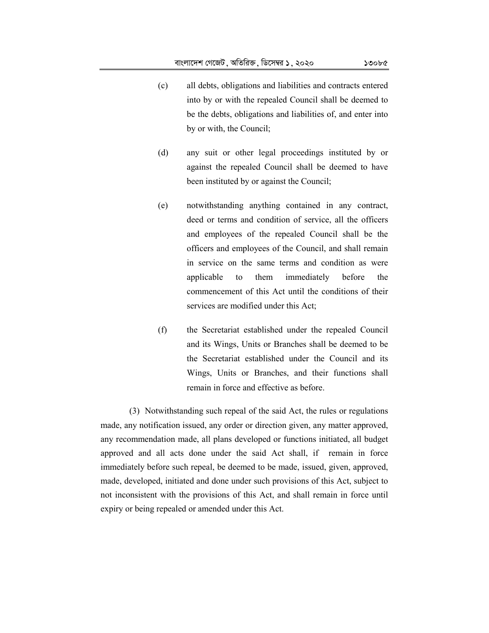- (c) all debts, obligations and liabilities and contracts entered into by or with the repealed Council shall be deemed to be the debts, obligations and liabilities of, and enter into by or with, the Council;
- (d) any suit or other legal proceedings instituted by or against the repealed Council shall be deemed to have been instituted by or against the Council;
- (e) notwithstanding anything contained in any contract, deed or terms and condition of service, all the officers and employees of the repealed Council shall be the officers and employees of the Council, and shall remain in service on the same terms and condition as were applicable to them immediately before the commencement of this Act until the conditions of their services are modified under this Act;
- (f) the Secretariat established under the repealed Council and its Wings, Units or Branches shall be deemed to be the Secretariat established under the Council and its Wings, Units or Branches, and their functions shall remain in force and effective as before.

(3) Notwithstanding such repeal of the said Act, the rules or regulations made, any notification issued, any order or direction given, any matter approved, any recommendation made, all plans developed or functions initiated, all budget approved and all acts done under the said Act shall, if remain in force immediately before such repeal, be deemed to be made, issued, given, approved, made, developed, initiated and done under such provisions of this Act, subject to not inconsistent with the provisions of this Act, and shall remain in force until expiry or being repealed or amended under this Act.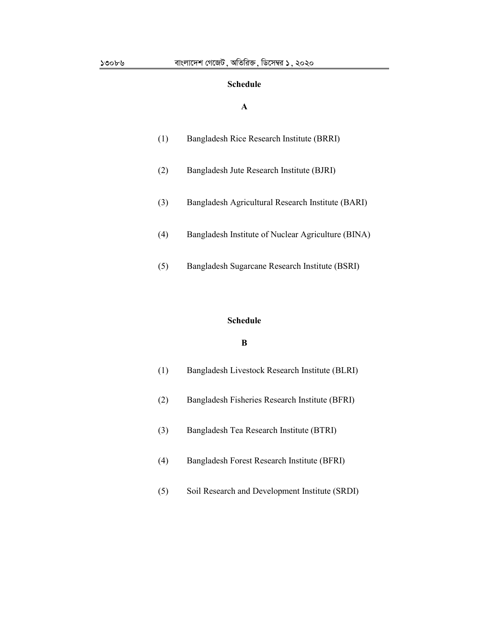# **Schedule**

# **A**

| Bangladesh Rice Research Institute (BRRI) |  |
|-------------------------------------------|--|
|                                           |  |

- (2) Bangladesh Jute Research Institute (BJRI)
- (3) Bangladesh Agricultural Research Institute (BARI)
- (4) Bangladesh Institute of Nuclear Agriculture (BINA)
- (5) Bangladesh Sugarcane Research Institute (BSRI)

#### **Schedule**

# **B**

| (1) | Bangladesh Livestock Research Institute (BLRI) |
|-----|------------------------------------------------|
| (2) | Bangladesh Fisheries Research Institute (BFRI) |
| (3) | Bangladesh Tea Research Institute (BTRI)       |
| (4) | Bangladesh Forest Research Institute (BFRI)    |
| (5) | Soil Research and Development Institute (SRDI) |